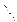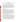## **Abstract for Symposium: Designating Attainable Uses for the Nation's Waters June 3-4, 2002**

**Title:** Georgia's Failure to Protect Existing and Designated Uses – A Case Study **By:** David W. Sligh, American Rivers Southeast Representative

 This case study shows a State's failures to properly protect stream uses. Georgia's regulatory agency was required to ensure compliance with the State's Water Quality Standards before issuing a 401 certification for a proposed dam and reservoir. Georgia officials blatantly ignored state and federal legal requirements. These failures are symptomatic of ones observed and documented in many other states and must be addressed through: 1) strengthened EPA oversite of individual state regulatory programs, Standards development, and implementation; 2) EPA guidance which specifically addresses these instances where States abdicate their responsibilities; and, 3) possibly, proposed changes to federal regulations to close "loopholes" used to avoid complete and faithful implementation of the Clean Water Act's intent.

## **Georgia's Failures**

Designated Uses – Though acknowledging that destruction of over 17 miles of stream habitat, elimination of many native species, disruption of materials and species movements through the watershed, and elimination of human uses protected under the designated use category would occur, Georgia asserted that the designated uses of affected water bodies would not be impaired. The designated use for these streams is "fishing," which is defined in Georgia regulations as "Propagation of Fish, Shellfish, Game and Other Aquatic Life; secondary contact recreation in and on the water; or for other use requiring water of a lower quality." Georgia ruled that this designated use was met as long as fishing would be possible in the reservoir that would drown the existing streams. They asserted that the presence of any fish in the altered system was sufficient to uphold this designated use and argued that protection and maintenance of native species and of the ecosystem's overall biological integrity were irrelevant to implementation of their designated use category.

Existing Uses – Far from protecting existing uses in the streams to be altered in this case, Georgia regulators, in fact, failed to even acknowledge the true definition of an "existing use," under their Water Quality Standards or under federal regulations. As in 40 CFR 131.3(e), Georgia's definition of "existing uses" includes those uses "actually attained in the waterbody on or after November 28, 1975." In this Georgia case, officials repeatedly asserted that the use-designations defined in their standards for the streams studied were synonymous with the "existing uses." Not one of the Georgia regulators involved in this case, at any time, cited or appeared familiar with the explicit definition for "existing instream water uses" contained in their own Standards and none of these officials would acknowledge that the definition in 40 CFR is much broader than their designated uses, even though the federal regulation explicitly states that uses actually attained are "existing, . . .whether or not they are included in the water quality standards."